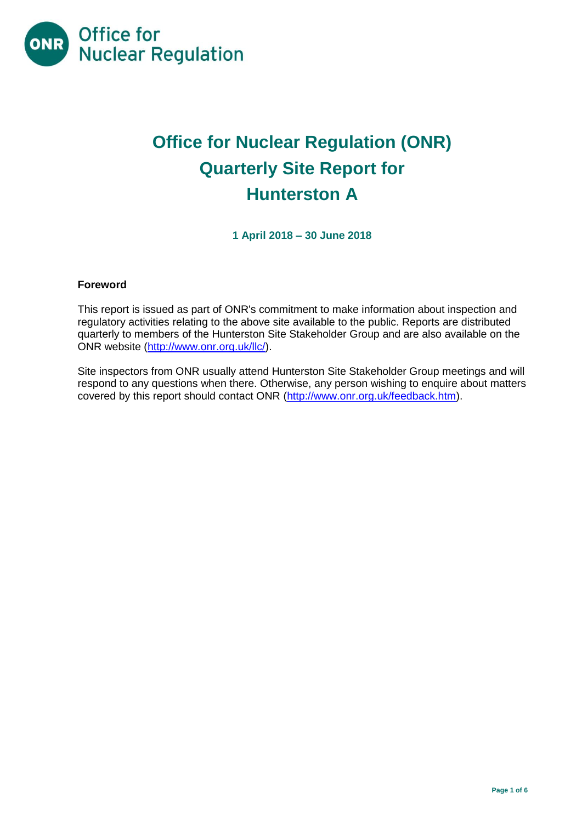

# **Office for Nuclear Regulation (ONR) Quarterly Site Report for Hunterston A**

**1 April 2018 – 30 June 2018**

# **Foreword**

This report is issued as part of ONR's commitment to make information about inspection and regulatory activities relating to the above site available to the public. Reports are distributed quarterly to members of the Hunterston Site Stakeholder Group and are also available on the ONR website [\(http://www.onr.org.uk/llc/\)](http://www.onr.org.uk/llc/).

Site inspectors from ONR usually attend Hunterston Site Stakeholder Group meetings and will respond to any questions when there. Otherwise, any person wishing to enquire about matters covered by this report should contact ONR [\(http://www.onr.org.uk/feedback.htm\)](http://www.onr.org.uk/feedback.htm).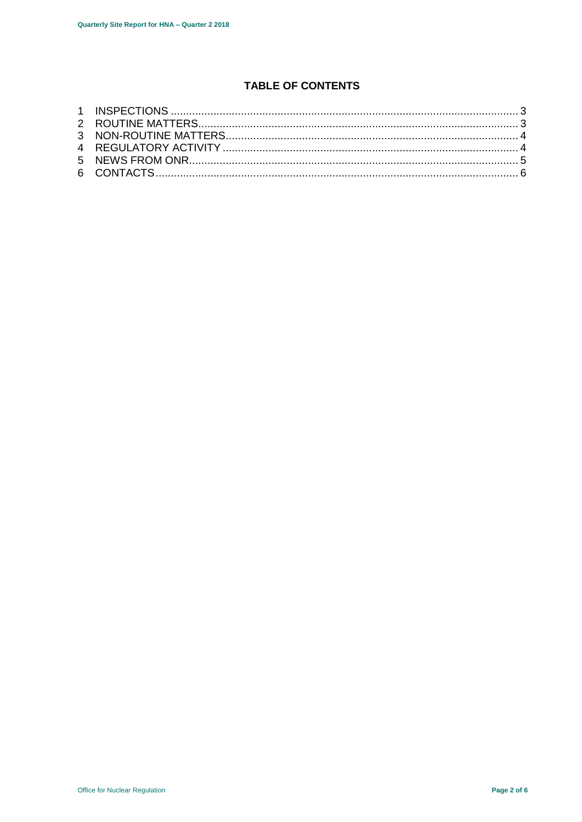# **TABLE OF CONTENTS**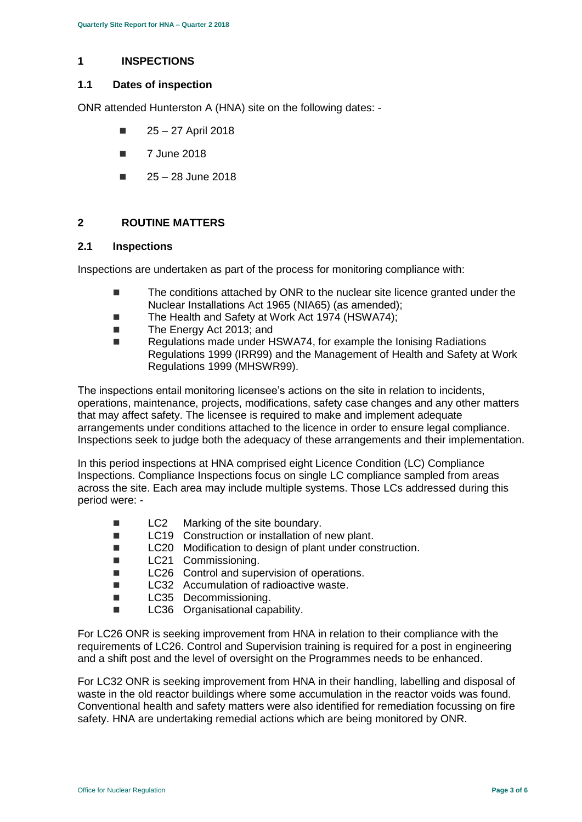## <span id="page-2-0"></span>**1 INSPECTIONS**

## **1.1 Dates of inspection**

ONR attended Hunterston A (HNA) site on the following dates: -

- $\blacksquare$  25 27 April 2018
- $\blacksquare$  7 June 2018
- $25 28$  June 2018

## <span id="page-2-1"></span>**2 ROUTINE MATTERS**

## **2.1 Inspections**

Inspections are undertaken as part of the process for monitoring compliance with:

- The conditions attached by ONR to the nuclear site licence granted under the Nuclear Installations Act 1965 (NIA65) (as amended);
- $\blacksquare$  The Health and Safety at Work Act 1974 (HSWA74):
- The Energy Act 2013; and
- Regulations made under HSWA74, for example the Ionising Radiations Regulations 1999 (IRR99) and the Management of Health and Safety at Work Regulations 1999 (MHSWR99).

The inspections entail monitoring licensee's actions on the site in relation to incidents, operations, maintenance, projects, modifications, safety case changes and any other matters that may affect safety. The licensee is required to make and implement adequate arrangements under conditions attached to the licence in order to ensure legal compliance. Inspections seek to judge both the adequacy of these arrangements and their implementation.

In this period inspections at HNA comprised eight Licence Condition (LC) Compliance Inspections. Compliance Inspections focus on single LC compliance sampled from areas across the site. Each area may include multiple systems. Those LCs addressed during this period were: -

- LC2 Marking of the site boundary.
- LC19 Construction or installation of new plant.
- LC20 Modification to design of plant under construction.
- **LC21** Commissioning.
- LC26 Control and supervision of operations.
- LC32 Accumulation of radioactive waste.
- **LC35** Decommissioning.
- **LC36** Organisational capability.

For LC26 ONR is seeking improvement from HNA in relation to their compliance with the requirements of LC26. Control and Supervision training is required for a post in engineering and a shift post and the level of oversight on the Programmes needs to be enhanced.

For LC32 ONR is seeking improvement from HNA in their handling, labelling and disposal of waste in the old reactor buildings where some accumulation in the reactor voids was found. Conventional health and safety matters were also identified for remediation focussing on fire safety. HNA are undertaking remedial actions which are being monitored by ONR.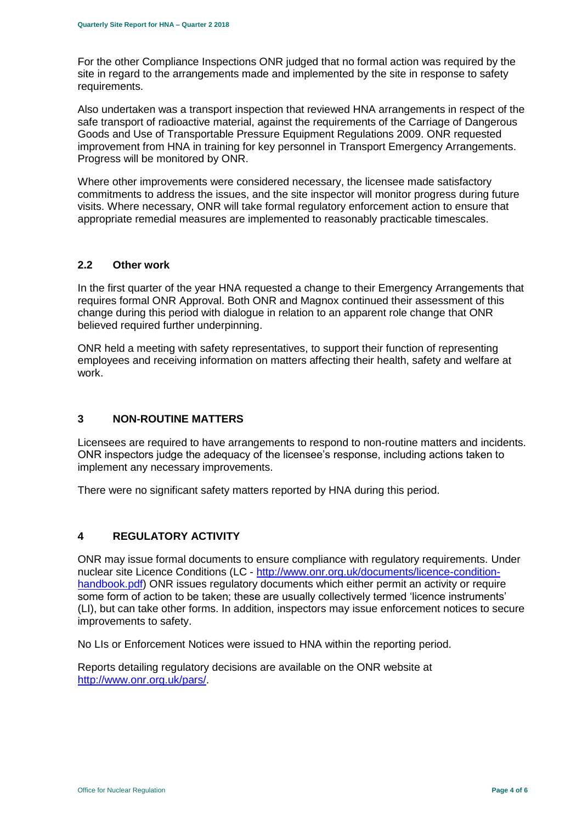For the other Compliance Inspections ONR judged that no formal action was required by the site in regard to the arrangements made and implemented by the site in response to safety requirements.

Also undertaken was a transport inspection that reviewed HNA arrangements in respect of the safe transport of radioactive material, against the requirements of the Carriage of Dangerous Goods and Use of Transportable Pressure Equipment Regulations 2009. ONR requested improvement from HNA in training for key personnel in Transport Emergency Arrangements. Progress will be monitored by ONR.

Where other improvements were considered necessary, the licensee made satisfactory commitments to address the issues, and the site inspector will monitor progress during future visits. Where necessary, ONR will take formal regulatory enforcement action to ensure that appropriate remedial measures are implemented to reasonably practicable timescales.

## **2.2 Other work**

In the first quarter of the year HNA requested a change to their Emergency Arrangements that requires formal ONR Approval. Both ONR and Magnox continued their assessment of this change during this period with dialogue in relation to an apparent role change that ONR believed required further underpinning.

ONR held a meeting with safety representatives, to support their function of representing employees and receiving information on matters affecting their health, safety and welfare at work.

#### <span id="page-3-0"></span>**3 NON-ROUTINE MATTERS**

Licensees are required to have arrangements to respond to non-routine matters and incidents. ONR inspectors judge the adequacy of the licensee's response, including actions taken to implement any necessary improvements.

There were no significant safety matters reported by HNA during this period.

# <span id="page-3-1"></span>**4 REGULATORY ACTIVITY**

ONR may issue formal documents to ensure compliance with regulatory requirements. Under nuclear site Licence Conditions (LC - [http://www.onr.org.uk/documents/licence-condition](http://www.onr.org.uk/documents/licence-condition-handbook.pdf)[handbook.pdf\)](http://www.onr.org.uk/documents/licence-condition-handbook.pdf) ONR issues regulatory documents which either permit an activity or require some form of action to be taken; these are usually collectively termed 'licence instruments' (LI), but can take other forms. In addition, inspectors may issue enforcement notices to secure improvements to safety.

No LIs or Enforcement Notices were issued to HNA within the reporting period.

<span id="page-3-2"></span>Reports detailing regulatory decisions are available on the ONR website at [http://www.onr.org.uk/pars/.](http://www.onr.org.uk/pars/)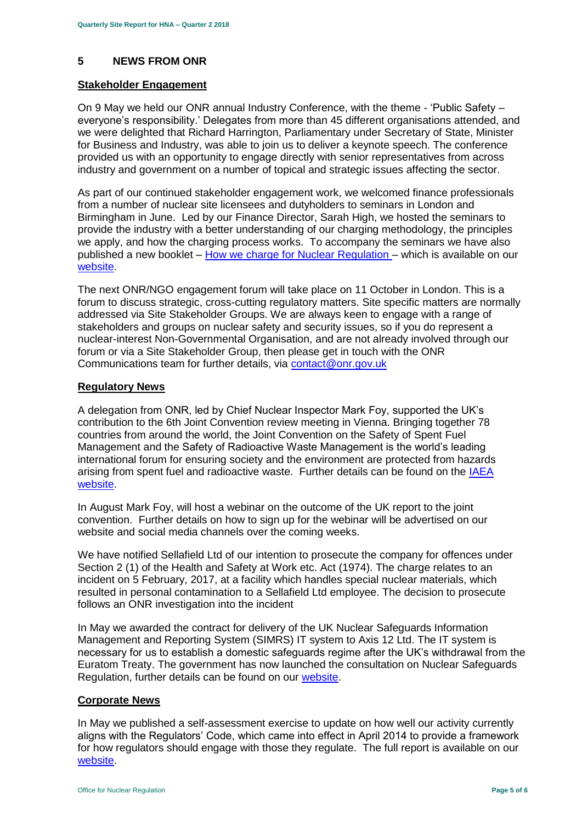# **5 NEWS FROM ONR**

#### **Stakeholder Engagement**

On 9 May we held our ONR annual Industry Conference, with the theme - 'Public Safety – everyone's responsibility.' Delegates from more than 45 different organisations attended, and we were delighted that Richard Harrington, Parliamentary under Secretary of State, Minister for Business and Industry, was able to join us to deliver a keynote speech. The conference provided us with an opportunity to engage directly with senior representatives from across industry and government on a number of topical and strategic issues affecting the sector.

As part of our continued stakeholder engagement work, we welcomed finance professionals from a number of nuclear site licensees and dutyholders to seminars in London and Birmingham in June. Led by our Finance Director, Sarah High, we hosted the seminars to provide the industry with a better understanding of our charging methodology, the principles we apply, and how the charging process works. To accompany the seminars we have also published a new booklet – [How we charge for Nuclear Regulation](http://www.onr.org.uk/documents/2018/how-we-charge-for-nuclear-regulation.pdf) – which is available on our [website.](http://www.onr.org.uk/documents/2018/how-we-charge-for-nuclear-regulation.pdf)

The next ONR/NGO engagement forum will take place on 11 October in London. This is a forum to discuss strategic, cross-cutting regulatory matters. Site specific matters are normally addressed via Site Stakeholder Groups. We are always keen to engage with a range of stakeholders and groups on nuclear safety and security issues, so if you do represent a nuclear-interest Non-Governmental Organisation, and are not already involved through our forum or via a Site Stakeholder Group, then please get in touch with the ONR Communications team for further details, via [contact@onr.gov.uk](mailto:contact@onr.gov.uk)

#### **Regulatory News**

A delegation from ONR, led by Chief Nuclear Inspector Mark Foy, supported the UK's contribution to the 6th Joint Convention review meeting in Vienna. Bringing together 78 countries from around the world, the Joint Convention on the Safety of Spent Fuel Management and the Safety of Radioactive Waste Management is the world's leading international forum for ensuring society and the environment are protected from hazards arising from spent fuel and radioactive waste. Further details can be found on the IAEA [website.](https://www.iaea.org/events/sixth-review-meeting-of-the-contracting-parties-to-the-joint-convention-on-the-safety-of-spent-fuel-management-and-on-the-safety-of-radioactive-waste-management-joint-convention)

In August Mark Foy, will host a webinar on the outcome of the UK report to the joint convention. Further details on how to sign up for the webinar will be advertised on our website and social media channels over the coming weeks.

We have notified Sellafield Ltd of our intention to prosecute the company for offences under Section 2 (1) of the Health and Safety at Work etc. Act (1974). The charge relates to an incident on 5 February, 2017, at a facility which handles special nuclear materials, which resulted in personal contamination to a Sellafield Ltd employee. The decision to prosecute follows an ONR investigation into the incident

In May we awarded the contract for delivery of the UK Nuclear Safeguards Information Management and Reporting System (SIMRS) IT system to Axis 12 Ltd. The IT system is necessary for us to establish a domestic safeguards regime after the UK's withdrawal from the Euratom Treaty. The government has now launched the consultation on Nuclear Safeguards Regulation, further details can be found on our [website.](http://news.onr.org.uk/2018/07/government-consults-on-nuclear-safeguards-regulations/)

#### **Corporate News**

In May we published a self-assessment exercise to update on how well our activity currently aligns with the Regulators' Code, which came into effect in April 2014 to provide a framework for how regulators should engage with those they regulate. The full report is available on our [website.](http://www.onr.org.uk/regulators-code.htm)